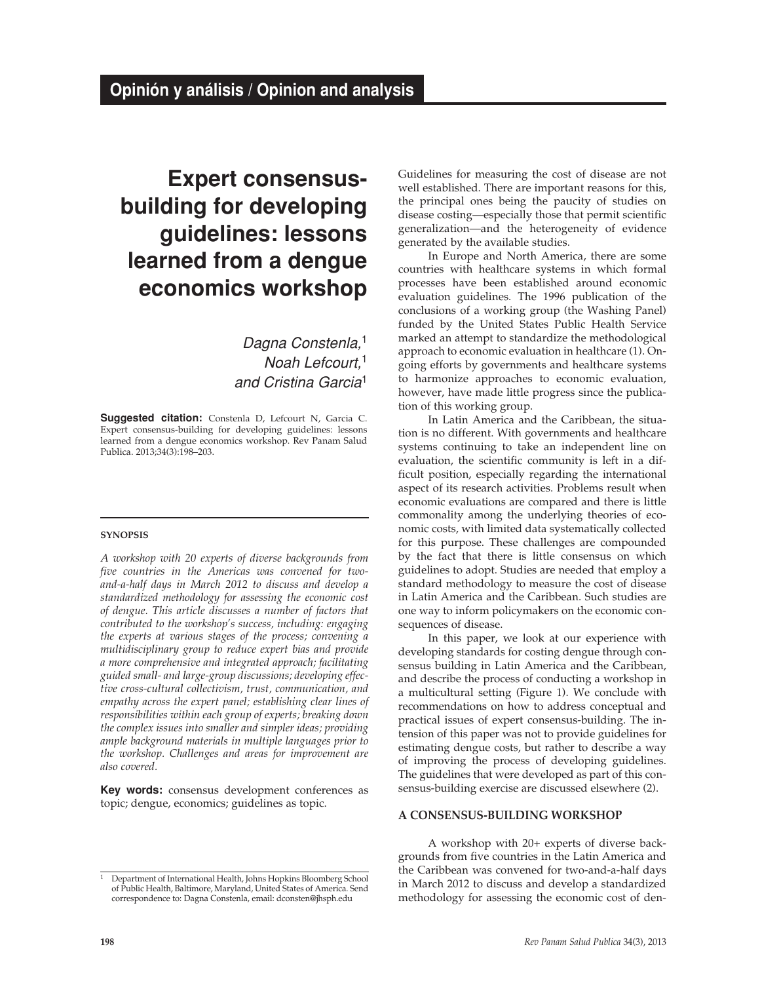# **Expert consensusbuilding for developing guidelines: lessons learned from a dengue economics workshop**

*Dagna Constenla,*<sup>1</sup> *Noah Lefcourt,*<sup>1</sup> *and Cristina Garcia*<sup>1</sup>

**Suggested citation:** Constenla D, Lefcourt N, Garcia C. Expert consensus-building for developing guidelines: lessons learned from a dengue economics workshop. Rev Panam Salud Publica. 2013;34(3):198–203.

#### **synopsis**

*A workshop with 20 experts of diverse backgrounds from five countries in the Americas was convened for twoand-a-half days in March 2012 to discuss and develop a standardized methodology for assessing the economic cost of dengue. This article discusses a number of factors that contributed to the workshop's success, including: engaging the experts at various stages of the process; convening a multidisciplinary group to reduce expert bias and provide a more comprehensive and integrated approach; facilitating guided small- and large-group discussions; developing effective cross-cultural collectivism, trust, communication, and empathy across the expert panel; establishing clear lines of responsibilities within each group of experts; breaking down the complex issues into smaller and simpler ideas; providing ample background materials in multiple languages prior to the workshop. Challenges and areas for improvement are also covered.*

**Key words:** consensus development conferences as topic; dengue, economics; guidelines as topic.

1 Department of International Health, Johns Hopkins Bloomberg School of Public Health, Baltimore, Maryland, United States of America. Send correspondence to: Dagna Constenla, email: dconsten@jhsph.edu

Guidelines for measuring the cost of disease are not well established. There are important reasons for this, the principal ones being the paucity of studies on disease costing—especially those that permit scientific generalization—and the heterogeneity of evidence generated by the available studies.

In Europe and North America, there are some countries with healthcare systems in which formal processes have been established around economic evaluation guidelines. The 1996 publication of the conclusions of a working group (the Washing Panel) funded by the United States Public Health Service marked an attempt to standardize the methodological approach to economic evaluation in healthcare (1). Ongoing efforts by governments and healthcare systems to harmonize approaches to economic evaluation, however, have made little progress since the publication of this working group.

In Latin America and the Caribbean, the situation is no different. With governments and healthcare systems continuing to take an independent line on evaluation, the scientific community is left in a difficult position, especially regarding the international aspect of its research activities. Problems result when economic evaluations are compared and there is little commonality among the underlying theories of economic costs, with limited data systematically collected for this purpose. These challenges are compounded by the fact that there is little consensus on which guidelines to adopt. Studies are needed that employ a standard methodology to measure the cost of disease in Latin America and the Caribbean. Such studies are one way to inform policymakers on the economic consequences of disease.

In this paper, we look at our experience with developing standards for costing dengue through consensus building in Latin America and the Caribbean, and describe the process of conducting a workshop in a multicultural setting (Figure 1). We conclude with recommendations on how to address conceptual and practical issues of expert consensus-building. The intension of this paper was not to provide guidelines for estimating dengue costs, but rather to describe a way of improving the process of developing guidelines. The guidelines that were developed as part of this consensus-building exercise are discussed elsewhere (2).

#### **A CONSENSUS-BUILDING WORKSHOP**

A workshop with 20+ experts of diverse backgrounds from five countries in the Latin America and the Caribbean was convened for two-and-a-half days in March 2012 to discuss and develop a standardized methodology for assessing the economic cost of den-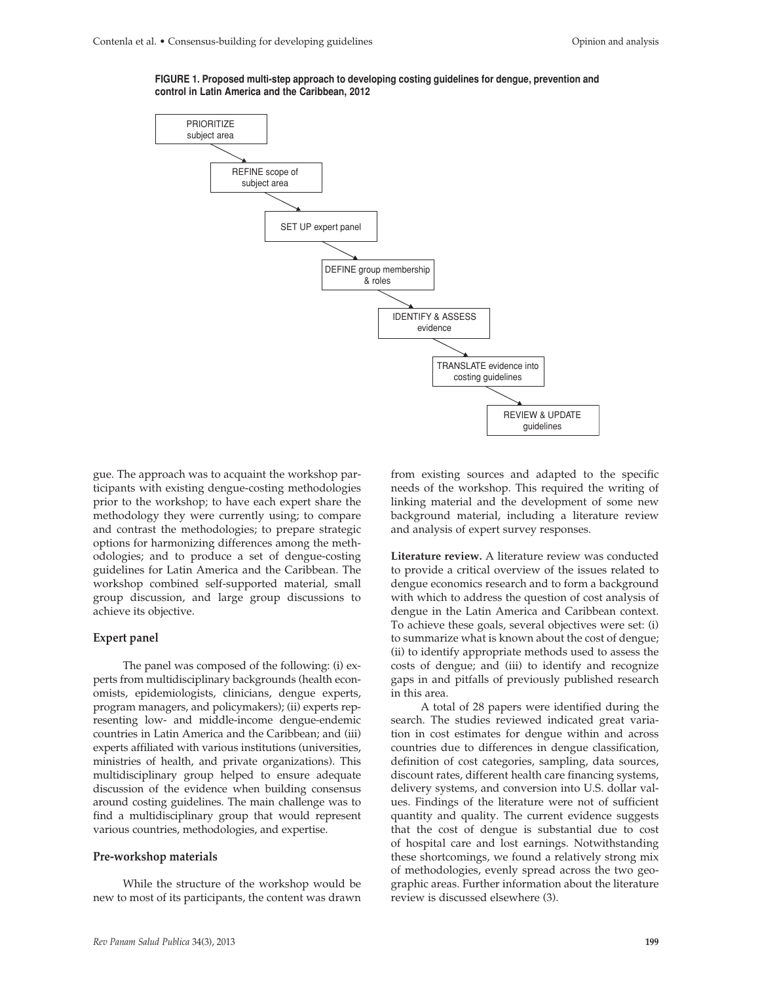

**FIGURE 1. Proposed multi-step approach to developing costing guidelines for dengue, prevention and control in Latin America and the Caribbean, 2012**

gue. The approach was to acquaint the workshop participants with existing dengue-costing methodologies prior to the workshop; to have each expert share the methodology they were currently using; to compare and contrast the methodologies; to prepare strategic options for harmonizing differences among the methodologies; and to produce a set of dengue-costing guidelines for Latin America and the Caribbean. The workshop combined self-supported material, small group discussion, and large group discussions to achieve its objective.

#### **Expert panel**

The panel was composed of the following: (i) experts from multidisciplinary backgrounds (health economists, epidemiologists, clinicians, dengue experts, program managers, and policymakers); (ii) experts representing low- and middle-income dengue-endemic countries in Latin America and the Caribbean; and (iii) experts affiliated with various institutions (universities, ministries of health, and private organizations). This multidisciplinary group helped to ensure adequate discussion of the evidence when building consensus around costing guidelines. The main challenge was to find a multidisciplinary group that would represent various countries, methodologies, and expertise.

#### **Pre-workshop materials**

While the structure of the workshop would be new to most of its participants, the content was drawn from existing sources and adapted to the specific needs of the workshop. This required the writing of linking material and the development of some new background material, including a literature review and analysis of expert survey responses.

**Literature review.** A literature review was conducted to provide a critical overview of the issues related to dengue economics research and to form a background with which to address the question of cost analysis of dengue in the Latin America and Caribbean context. To achieve these goals, several objectives were set: (i) to summarize what is known about the cost of dengue; (ii) to identify appropriate methods used to assess the costs of dengue; and (iii) to identify and recognize gaps in and pitfalls of previously published research in this area.

A total of 28 papers were identified during the search. The studies reviewed indicated great variation in cost estimates for dengue within and across countries due to differences in dengue classification, definition of cost categories, sampling, data sources, discount rates, different health care financing systems, delivery systems, and conversion into U.S. dollar values. Findings of the literature were not of sufficient quantity and quality. The current evidence suggests that the cost of dengue is substantial due to cost of hospital care and lost earnings. Notwithstanding these shortcomings, we found a relatively strong mix of methodologies, evenly spread across the two geographic areas. Further information about the literature review is discussed elsewhere (3).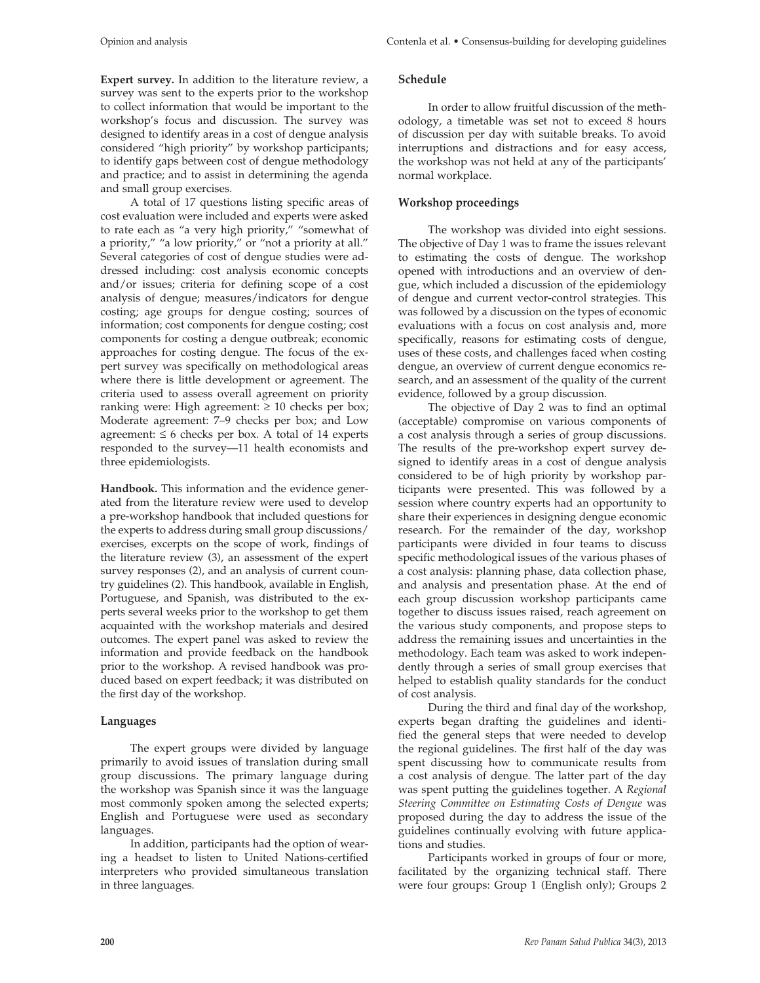**Expert survey.** In addition to the literature review, a survey was sent to the experts prior to the workshop to collect information that would be important to the workshop's focus and discussion. The survey was designed to identify areas in a cost of dengue analysis considered "high priority" by workshop participants; to identify gaps between cost of dengue methodology and practice; and to assist in determining the agenda and small group exercises.

A total of 17 questions listing specific areas of cost evaluation were included and experts were asked to rate each as "a very high priority," "somewhat of a priority," "a low priority," or "not a priority at all." Several categories of cost of dengue studies were addressed including: cost analysis economic concepts and/or issues; criteria for defining scope of a cost analysis of dengue; measures/indicators for dengue costing; age groups for dengue costing; sources of information; cost components for dengue costing; cost components for costing a dengue outbreak; economic approaches for costing dengue. The focus of the expert survey was specifically on methodological areas where there is little development or agreement. The criteria used to assess overall agreement on priority ranking were: High agreement:  $\geq 10$  checks per box; Moderate agreement: 7–9 checks per box; and Low agreement:  $\leq 6$  checks per box. A total of 14 experts responded to the survey—11 health economists and three epidemiologists.

**Handbook.** This information and the evidence generated from the literature review were used to develop a pre-workshop handbook that included questions for the experts to address during small group discussions/ exercises, excerpts on the scope of work, findings of the literature review (3), an assessment of the expert survey responses (2), and an analysis of current country guidelines (2). This handbook, available in English, Portuguese, and Spanish, was distributed to the experts several weeks prior to the workshop to get them acquainted with the workshop materials and desired outcomes. The expert panel was asked to review the information and provide feedback on the handbook prior to the workshop. A revised handbook was produced based on expert feedback; it was distributed on the first day of the workshop.

## **Languages**

The expert groups were divided by language primarily to avoid issues of translation during small group discussions. The primary language during the workshop was Spanish since it was the language most commonly spoken among the selected experts; English and Portuguese were used as secondary languages.

In addition, participants had the option of wearing a headset to listen to United Nations-certified interpreters who provided simultaneous translation in three languages.

## **Schedule**

In order to allow fruitful discussion of the methodology, a timetable was set not to exceed 8 hours of discussion per day with suitable breaks. To avoid interruptions and distractions and for easy access, the workshop was not held at any of the participants' normal workplace.

## **Workshop proceedings**

The workshop was divided into eight sessions. The objective of Day 1 was to frame the issues relevant to estimating the costs of dengue. The workshop opened with introductions and an overview of dengue, which included a discussion of the epidemiology of dengue and current vector-control strategies. This was followed by a discussion on the types of economic evaluations with a focus on cost analysis and, more specifically, reasons for estimating costs of dengue, uses of these costs, and challenges faced when costing dengue, an overview of current dengue economics research, and an assessment of the quality of the current evidence, followed by a group discussion.

The objective of Day 2 was to find an optimal (acceptable) compromise on various components of a cost analysis through a series of group discussions. The results of the pre-workshop expert survey designed to identify areas in a cost of dengue analysis considered to be of high priority by workshop participants were presented. This was followed by a session where country experts had an opportunity to share their experiences in designing dengue economic research. For the remainder of the day, workshop participants were divided in four teams to discuss specific methodological issues of the various phases of a cost analysis: planning phase, data collection phase, and analysis and presentation phase. At the end of each group discussion workshop participants came together to discuss issues raised, reach agreement on the various study components, and propose steps to address the remaining issues and uncertainties in the methodology. Each team was asked to work independently through a series of small group exercises that helped to establish quality standards for the conduct of cost analysis.

During the third and final day of the workshop, experts began drafting the guidelines and identified the general steps that were needed to develop the regional guidelines. The first half of the day was spent discussing how to communicate results from a cost analysis of dengue. The latter part of the day was spent putting the guidelines together. A *Regional Steering Committee on Estimating Costs of Dengue* was proposed during the day to address the issue of the guidelines continually evolving with future applications and studies.

Participants worked in groups of four or more, facilitated by the organizing technical staff. There were four groups: Group 1 (English only); Groups 2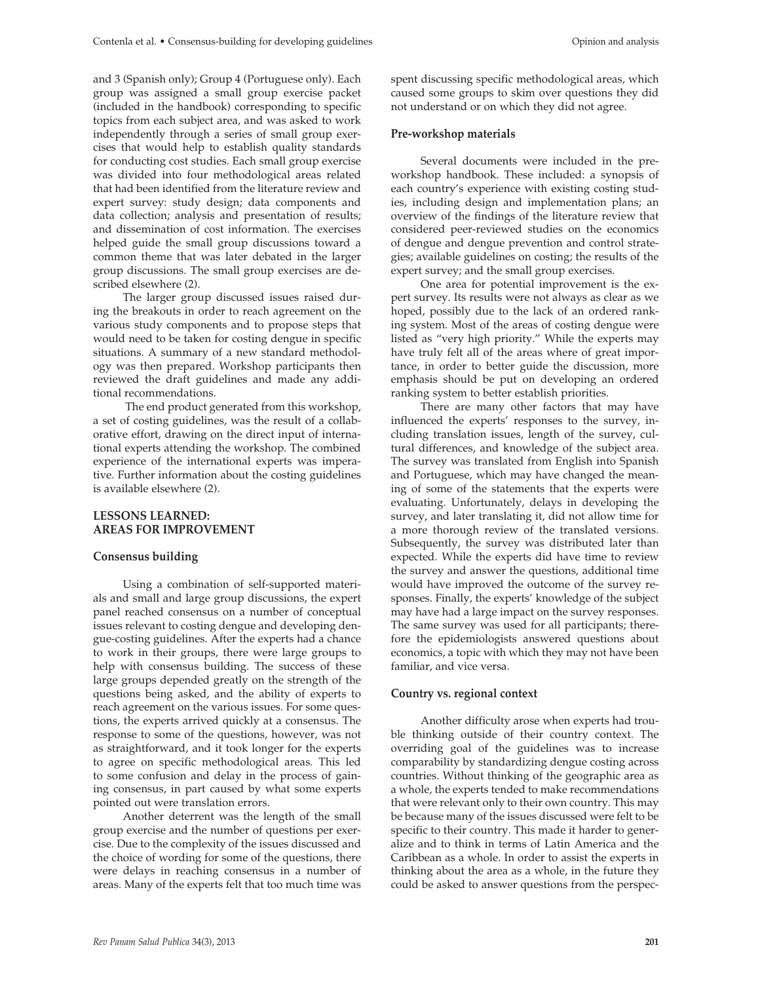and 3 (Spanish only); Group 4 (Portuguese only). Each group was assigned a small group exercise packet (included in the handbook) corresponding to specific topics from each subject area, and was asked to work independently through a series of small group exercises that would help to establish quality standards for conducting cost studies. Each small group exercise was divided into four methodological areas related that had been identified from the literature review and expert survey: study design; data components and data collection; analysis and presentation of results; and dissemination of cost information. The exercises helped guide the small group discussions toward a common theme that was later debated in the larger group discussions. The small group exercises are described elsewhere (2).

The larger group discussed issues raised during the breakouts in order to reach agreement on the various study components and to propose steps that would need to be taken for costing dengue in specific situations. A summary of a new standard methodology was then prepared. Workshop participants then reviewed the draft guidelines and made any additional recommendations.

 The end product generated from this workshop, a set of costing guidelines, was the result of a collaborative effort, drawing on the direct input of international experts attending the workshop. The combined experience of the international experts was imperative. Further information about the costing guidelines is available elsewhere (2).

#### **LESSONS LEARNED: AREAS FOR IMPROVEMENT**

#### **Consensus building**

Using a combination of self-supported materials and small and large group discussions, the expert panel reached consensus on a number of conceptual issues relevant to costing dengue and developing dengue-costing guidelines. After the experts had a chance to work in their groups, there were large groups to help with consensus building. The success of these large groups depended greatly on the strength of the questions being asked, and the ability of experts to reach agreement on the various issues. For some questions, the experts arrived quickly at a consensus. The response to some of the questions, however, was not as straightforward, and it took longer for the experts to agree on specific methodological areas. This led to some confusion and delay in the process of gaining consensus, in part caused by what some experts pointed out were translation errors.

Another deterrent was the length of the small group exercise and the number of questions per exercise. Due to the complexity of the issues discussed and the choice of wording for some of the questions, there were delays in reaching consensus in a number of areas. Many of the experts felt that too much time was

spent discussing specific methodological areas, which caused some groups to skim over questions they did not understand or on which they did not agree.

#### **Pre-workshop materials**

Several documents were included in the preworkshop handbook. These included: a synopsis of each country's experience with existing costing studies, including design and implementation plans; an overview of the findings of the literature review that considered peer-reviewed studies on the economics of dengue and dengue prevention and control strategies; available guidelines on costing; the results of the expert survey; and the small group exercises.

One area for potential improvement is the expert survey. Its results were not always as clear as we hoped, possibly due to the lack of an ordered ranking system. Most of the areas of costing dengue were listed as "very high priority." While the experts may have truly felt all of the areas where of great importance, in order to better guide the discussion, more emphasis should be put on developing an ordered ranking system to better establish priorities.

There are many other factors that may have influenced the experts' responses to the survey, including translation issues, length of the survey, cultural differences, and knowledge of the subject area. The survey was translated from English into Spanish and Portuguese, which may have changed the meaning of some of the statements that the experts were evaluating. Unfortunately, delays in developing the survey, and later translating it, did not allow time for a more thorough review of the translated versions. Subsequently, the survey was distributed later than expected. While the experts did have time to review the survey and answer the questions, additional time would have improved the outcome of the survey responses. Finally, the experts' knowledge of the subject may have had a large impact on the survey responses. The same survey was used for all participants; therefore the epidemiologists answered questions about economics, a topic with which they may not have been familiar, and vice versa.

#### **Country vs. regional context**

Another difficulty arose when experts had trouble thinking outside of their country context. The overriding goal of the guidelines was to increase comparability by standardizing dengue costing across countries. Without thinking of the geographic area as a whole, the experts tended to make recommendations that were relevant only to their own country. This may be because many of the issues discussed were felt to be specific to their country. This made it harder to generalize and to think in terms of Latin America and the Caribbean as a whole. In order to assist the experts in thinking about the area as a whole, in the future they could be asked to answer questions from the perspec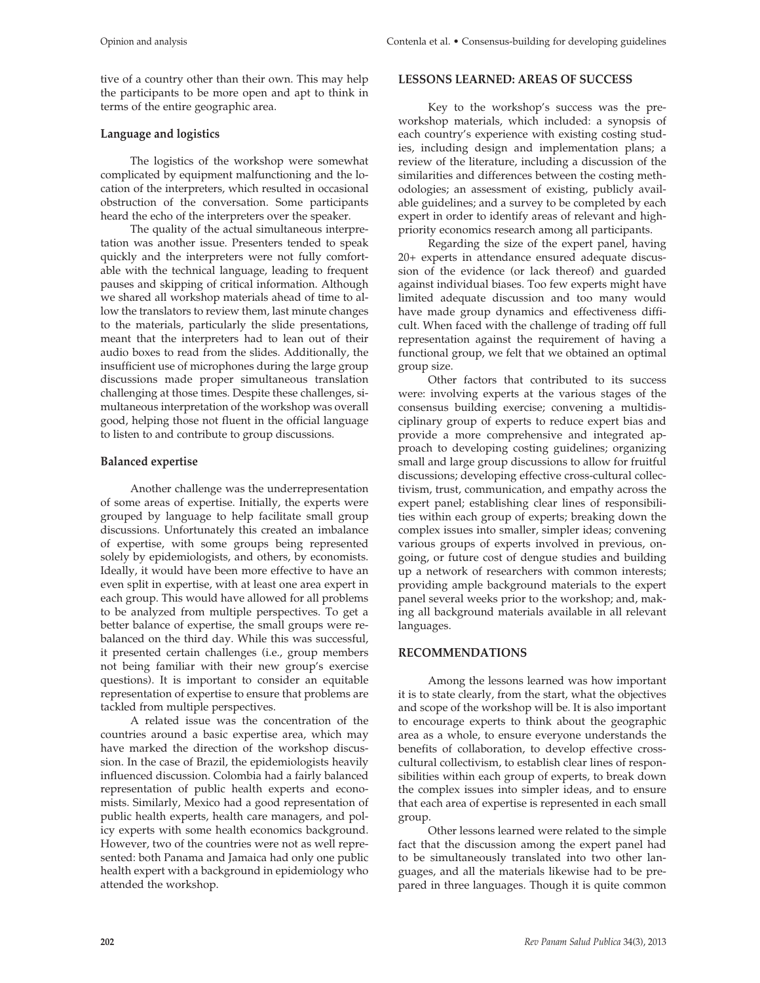tive of a country other than their own. This may help the participants to be more open and apt to think in terms of the entire geographic area.

## **Language and logistics**

The logistics of the workshop were somewhat complicated by equipment malfunctioning and the location of the interpreters, which resulted in occasional obstruction of the conversation. Some participants heard the echo of the interpreters over the speaker.

The quality of the actual simultaneous interpretation was another issue. Presenters tended to speak quickly and the interpreters were not fully comfortable with the technical language, leading to frequent pauses and skipping of critical information. Although we shared all workshop materials ahead of time to allow the translators to review them, last minute changes to the materials, particularly the slide presentations, meant that the interpreters had to lean out of their audio boxes to read from the slides. Additionally, the insufficient use of microphones during the large group discussions made proper simultaneous translation challenging at those times. Despite these challenges, simultaneous interpretation of the workshop was overall good, helping those not fluent in the official language to listen to and contribute to group discussions.

## **Balanced expertise**

Another challenge was the underrepresentation of some areas of expertise. Initially, the experts were grouped by language to help facilitate small group discussions. Unfortunately this created an imbalance of expertise, with some groups being represented solely by epidemiologists, and others, by economists. Ideally, it would have been more effective to have an even split in expertise, with at least one area expert in each group. This would have allowed for all problems to be analyzed from multiple perspectives. To get a better balance of expertise, the small groups were rebalanced on the third day. While this was successful, it presented certain challenges (i.e., group members not being familiar with their new group's exercise questions). It is important to consider an equitable representation of expertise to ensure that problems are tackled from multiple perspectives.

A related issue was the concentration of the countries around a basic expertise area, which may have marked the direction of the workshop discussion. In the case of Brazil, the epidemiologists heavily influenced discussion. Colombia had a fairly balanced representation of public health experts and economists. Similarly, Mexico had a good representation of public health experts, health care managers, and policy experts with some health economics background. However, two of the countries were not as well represented: both Panama and Jamaica had only one public health expert with a background in epidemiology who attended the workshop.

## **LESSONS LEARNED: AREAS OF SUCCESS**

Key to the workshop's success was the preworkshop materials, which included: a synopsis of each country's experience with existing costing studies, including design and implementation plans; a review of the literature, including a discussion of the similarities and differences between the costing methodologies; an assessment of existing, publicly available guidelines; and a survey to be completed by each expert in order to identify areas of relevant and highpriority economics research among all participants.

Regarding the size of the expert panel, having 20+ experts in attendance ensured adequate discussion of the evidence (or lack thereof) and guarded against individual biases. Too few experts might have limited adequate discussion and too many would have made group dynamics and effectiveness difficult. When faced with the challenge of trading off full representation against the requirement of having a functional group, we felt that we obtained an optimal group size.

Other factors that contributed to its success were: involving experts at the various stages of the consensus building exercise; convening a multidisciplinary group of experts to reduce expert bias and provide a more comprehensive and integrated approach to developing costing guidelines; organizing small and large group discussions to allow for fruitful discussions; developing effective cross-cultural collectivism, trust, communication, and empathy across the expert panel; establishing clear lines of responsibilities within each group of experts; breaking down the complex issues into smaller, simpler ideas; convening various groups of experts involved in previous, ongoing, or future cost of dengue studies and building up a network of researchers with common interests; providing ample background materials to the expert panel several weeks prior to the workshop; and, making all background materials available in all relevant languages.

# **RECOMMENDATIONS**

Among the lessons learned was how important it is to state clearly, from the start, what the objectives and scope of the workshop will be. It is also important to encourage experts to think about the geographic area as a whole, to ensure everyone understands the benefits of collaboration, to develop effective crosscultural collectivism, to establish clear lines of responsibilities within each group of experts, to break down the complex issues into simpler ideas, and to ensure that each area of expertise is represented in each small group.

Other lessons learned were related to the simple fact that the discussion among the expert panel had to be simultaneously translated into two other languages, and all the materials likewise had to be prepared in three languages. Though it is quite common